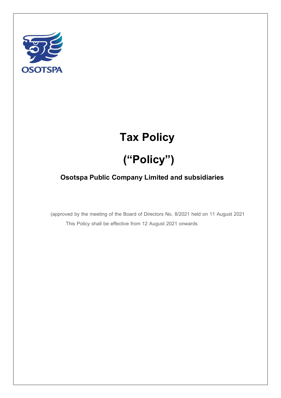

## **Tax Policy**

# **("Policy")**

### **Osotspa Public Company Limited and subsidiaries**

 (approved by the meeting of the Board of Directors No. 8/2021 held on 11 August 2021 This Policy shall be effective from 12 August 2021 onwards